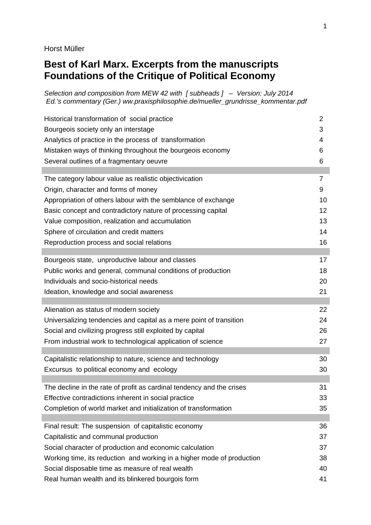## Horst Müller

# **Best of Karl Marx. Excerpts from the manuscripts Foundations of the Critique of Political Economy**

*Selection and composition from MEW 42 with [ subheads ] – Version: July 2014 Ed.'s commentary (Ger.) ww.praxisphilosophie.de/mueller\_grundrisse\_kommentar.pdf*

| Historical transformation of social practice                           | $\overline{2}$ |
|------------------------------------------------------------------------|----------------|
| Bourgeois society only an interstage                                   | 3              |
| Analytics of practice in the process of transformation                 | 4              |
| Mistaken ways of thinking throughout the bourgeois economy             | 6              |
| Several outlines of a fragmentary oeuvre                               | 6              |
|                                                                        |                |
| The category labour value as realistic objectivication                 | 7              |
| Origin, character and forms of money                                   | 9              |
| Appropriation of others labour with the semblance of exchange          | 10             |
| Basic concept and contradictory nature of processing capital           | 12             |
| Value composition, realization and accumulation                        | 13             |
| Sphere of circulation and credit matters                               | 14             |
| Reproduction process and social relations                              | 16             |
|                                                                        |                |
| Bourgeois state, unproductive labour and classes                       | 17             |
| Public works and general, communal conditions of production            | 18             |
| Individuals and socio-historical needs                                 | 20             |
| Ideation, knowledge and social awareness                               | 21             |
| Alienation as status of modern society                                 | 22             |
| Universalizing tendencies and capital as a mere point of transition    | 24             |
| Social and civilizing progress still exploited by capital              | 26             |
| From industrial work to technological application of science           | 27             |
|                                                                        |                |
| Capitalistic relationship to nature, science and technology            | 30             |
| Excursus to political economy and ecology                              | 30             |
|                                                                        |                |
| The decline in the rate of profit as cardinal tendency and the crises  | 31             |
| Effective contradictions inherent in social practice                   | 33             |
| Completion of world market and initialization of transformation        | 35             |
| Final result: The suspension of capitalistic economy                   | 36             |
| Capitalistic and communal production                                   | 37             |
| Social character of production and economic calculation                | 37             |
|                                                                        |                |
| Working time, its reduction and working in a higher mode of production | 38             |
| Social disposable time as measure of real wealth                       | 40             |
| Real human wealth and its blinkered bourgois form                      | 41             |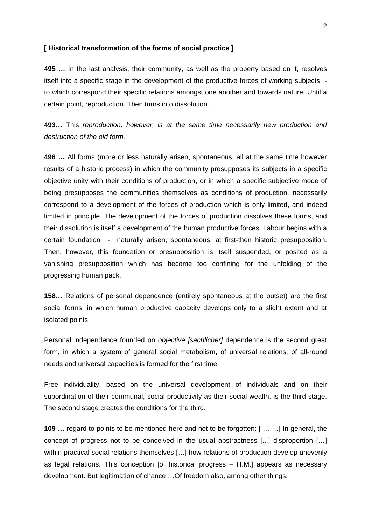#### **[ Historical transformation of the forms of social practice ]**

**495 …** In the last analysis, their community, as well as the property based on it, resolves itself into a specific stage in the development of the productive forces of working subjects to which correspond their specific relations amongst one another and towards nature. Until a certain point, reproduction. Then turns into dissolution.

**493…** This *reproduction, however, is at the same time necessarily new production and destruction of the old form.* 

**496 …** All forms (more or less naturally arisen, spontaneous, all at the same time however results of a historic process) in which the community presupposes its subjects in a specific objective unity with their conditions of production, or in which a specific subjective mode of being presupposes the communities themselves as conditions of production, necessarily correspond to a development of the forces of production which is only limited, and indeed limited in principle. The development of the forces of production dissolves these forms, and their dissolution is itself a development of the human productive forces. Labour begins with a certain foundation - naturally arisen, spontaneous, at first-then historic presupposition. Then, however, this foundation or presupposition is itself suspended, or posited as a vanishing presupposition which has become too confining for the unfolding of the progressing human pack.

**158…** Relations of personal dependence (entirely spontaneous at the outset) are the first social forms, in which human productive capacity develops only to a slight extent and at isolated points.

Personal independence founded on *objective [sachlicher]* dependence is the second great form, in which a system of general social metabolism, of universal relations, of all-round needs and universal capacities is formed for the first time.

Free individuality, based on the universal development of individuals and on their subordination of their communal, social productivity as their social wealth, is the third stage. The second stage creates the conditions for the third.

**109 …** regard to points to be mentioned here and not to be forgotten: [ … …] In general, the concept of progress not to be conceived in the usual abstractness [...] disproportion […] within practical-social relations themselves […] how relations of production develop unevenly as legal relations. This conception [of historical progress – H.M.] appears as necessary development. But legitimation of chance …Of freedom also, among other things.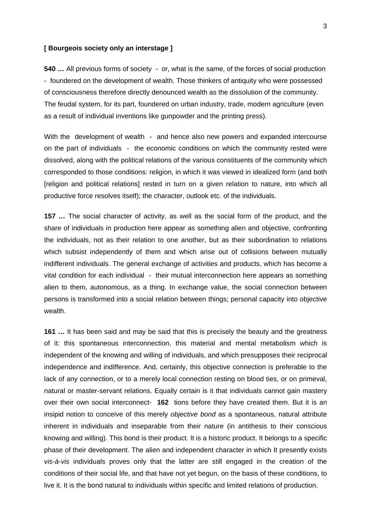#### **[ Bourgeois society only an interstage ]**

**540 …** All previous forms of society - or, what is the same, of the forces of social production - foundered on the development of wealth. Those thinkers of antiquity who were possessed of consciousness therefore directly denounced wealth as the dissolution of the community. The feudal system, for its part, foundered on urban industry, trade, modern agriculture (even as a result of individual inventions like gunpowder and the printing press).

With the development of wealth - and hence also new powers and expanded intercourse on the part of individuals - the economic conditions on which the community rested were dissolved, along with the political relations of the various constituents of the community which corresponded to those conditions: religion, in which it was viewed in idealized form (and both [religion and political relations] rested in turn on a given relation to nature, into which all productive force resolves itself); the character, outlook etc. of the individuals.

**157 …** The social character of activity, as well as the social form of the product, and the share of individuals in production here appear as something alien and objective, confronting the individuals, not as their relation to one another, but as their subordination to relations which subsist independently of them and which arise out of collisions between mutually indifferent individuals. The general exchange of activities and products, which has become a vital condition for each individual - their mutual interconnection here appears as something alien to them, autonomous, as a thing. In exchange value, the social connection between persons is transformed into a social relation between things; personal capacity into objective wealth.

**161 …** It has been said and may be said that this is precisely the beauty and the greatness of it: this spontaneous interconnection, this material and mental metabolism which is independent of the knowing and willing of individuals, and which presupposes their reciprocal independence and indifference. And, certainly, this objective connection is preferable to the lack of any connection, or to a merely local connection resting on blood ties, or on primeval, natural or master-servant relations. Equally certain is it that individuals cannot gain mastery over their own social interconnect- **162** tions before they have created them. But it is an insipid notion to conceive of this merely *objective bond* as a spontaneous, natural attribute inherent in individuals and inseparable from their nature (in antithesis to their conscious knowing and willing). This bond is their product. It is a historic product. It belongs to a specific phase of their development. The alien and independent character in which It presently exists *vis-à-vis* individuals proves only that the latter are still engaged in the creation of the conditions of their social life, and that have not yet begun, on the basis of these conditions, to live it. It is the bond natural to individuals within specific and limited relations of production.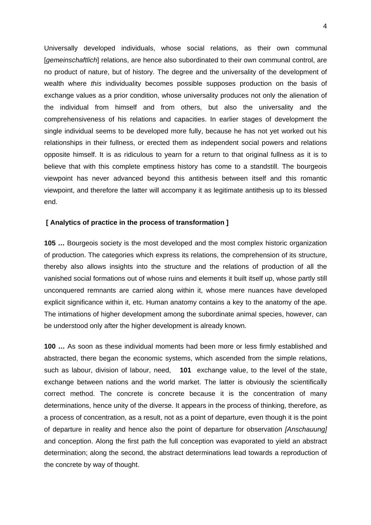Universally developed individuals, whose social relations, as their own communal [*gemeinschaftlich*] relations, are hence also subordinated to their own communal control, are no product of nature, but of history. The degree and the universality of the development of wealth where *this* individuality becomes possible supposes production on the basis of exchange values as a prior condition, whose universality produces not only the alienation of the individual from himself and from others, but also the universality and the comprehensiveness of his relations and capacities. In earlier stages of development the single individual seems to be developed more fully, because he has not yet worked out his relationships in their fullness, or erected them as independent social powers and relations opposite himself. It is as ridiculous to yearn for a return to that original fullness as it is to believe that with this complete emptiness history has come to a standstill. The bourgeois viewpoint has never advanced beyond this antithesis between itself and this romantic viewpoint, and therefore the latter will accompany it as legitimate antithesis up to its blessed end.

#### **[ Analytics of practice in the process of transformation ]**

**105 …** Bourgeois society is the most developed and the most complex historic organization of production. The categories which express its relations, the comprehension of its structure, thereby also allows insights into the structure and the relations of production of all the vanished social formations out of whose ruins and elements it built itself up, whose partly still unconquered remnants are carried along within it, whose mere nuances have developed explicit significance within it, etc. Human anatomy contains a key to the anatomy of the ape. The intimations of higher development among the subordinate animal species, however, can be understood only after the higher development is already known.

**100 …** As soon as these individual moments had been more or less firmly established and abstracted, there began the economic systems, which ascended from the simple relations, such as labour, division of labour, need, **101** exchange value, to the level of the state, exchange between nations and the world market. The latter is obviously the scientifically correct method. The concrete is concrete because it is the concentration of many determinations, hence unity of the diverse. It appears in the process of thinking, therefore, as a process of concentration, as a result, not as a point of departure, even though it is the point of departure in reality and hence also the point of departure for observation *[Anschauung]*  and conception. Along the first path the full conception was evaporated to yield an abstract determination; along the second, the abstract determinations lead towards a reproduction of the concrete by way of thought.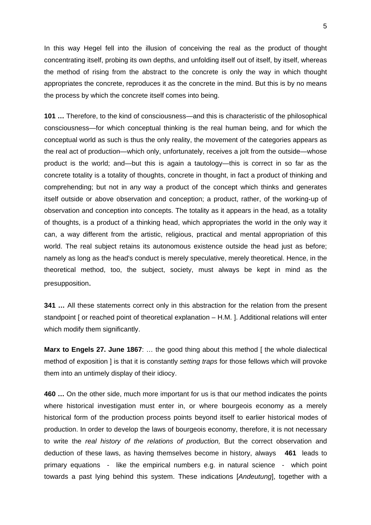In this way Hegel fell into the illusion of conceiving the real as the product of thought concentrating itself, probing its own depths, and unfolding itself out of itself, by itself, whereas the method of rising from the abstract to the concrete is only the way in which thought appropriates the concrete, reproduces it as the concrete in the mind. But this is by no means the process by which the concrete itself comes into being.

**101 …** Therefore, to the kind of consciousness—and this is characteristic of the philosophical consciousness—for which conceptual thinking is the real human being, and for which the conceptual world as such is thus the only reality, the movement of the categories appears as the real act of production—which only, unfortunately, receives a jolt from the outside—whose product is the world; and—but this is again a tautology—this is correct in so far as the concrete totality is a totality of thoughts, concrete in thought, in fact a product of thinking and comprehending; but not in any way a product of the concept which thinks and generates itself outside or above observation and conception; a product, rather, of the working-up of observation and conception into concepts. The totality as it appears in the head, as a totality of thoughts, is a product of a thinking head, which appropriates the world in the only way it can, a way different from the artistic, religious, practical and mental appropriation of this world. The real subject retains its autonomous existence outside the head just as before; namely as long as the head's conduct is merely speculative, merely theoretical. Hence, in the theoretical method, too, the subject, society, must always be kept in mind as the presupposition.

**341 …** All these statements correct only in this abstraction for the relation from the present standpoint [ or reached point of theoretical explanation – H.M. ]. Additional relations will enter which modify them significantly.

**Marx to Engels 27. June 1867:** ... the good thing about this method [the whole dialectical method of exposition ] is that it is constantly *setting traps* for those fellows which will provoke them into an untimely display of their idiocy.

**460 …** On the other side, much more important for us is that our method indicates the points where historical investigation must enter in, or where bourgeois economy as a merely historical form of the production process points beyond itself to earlier historical modes of production. In order to develop the laws of bourgeois economy, therefore, it is not necessary to write the *real history of the relations of production,* But the correct observation and deduction of these laws, as having themselves become in history, always **461** leads to primary equations - like the empirical numbers e.g. in natural science - which point towards a past lying behind this system. These indications [*Andeutung*], together with a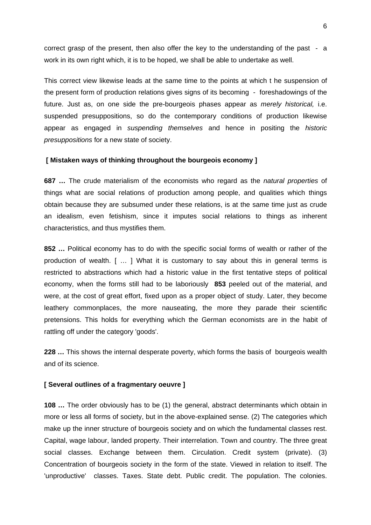correct grasp of the present, then also offer the key to the understanding of the past - a work in its own right which, it is to be hoped, we shall be able to undertake as well.

This correct view likewise leads at the same time to the points at which t he suspension of the present form of production relations gives signs of its becoming - foreshadowings of the future. Just as, on one side the pre-bourgeois phases appear as *merely historical,* i.e. suspended presuppositions, so do the contemporary conditions of production likewise appear as engaged in *suspending themselves* and hence in positing the *historic presuppositions* for a new state of society.

### **[ Mistaken ways of thinking throughout the bourgeois economy ]**

**687 …** The crude materialism of the economists who regard as the *natural properties* of things what are social relations of production among people, and qualities which things obtain because they are subsumed under these relations, is at the same time just as crude an idealism, even fetishism, since it imputes social relations to things as inherent characteristics, and thus mystifies them.

**852 …** Political economy has to do with the specific social forms of wealth or rather of the production of wealth. [ … ] What it is customary to say about this in general terms is restricted to abstractions which had a historic value in the first tentative steps of political economy, when the forms still had to be laboriously **853** peeled out of the material, and were, at the cost of great effort, fixed upon as a proper object of study. Later, they become leathery commonplaces, the more nauseating, the more they parade their scientific pretensions. This holds for everything which the German economists are in the habit of rattling off under the category 'goods'.

**228 …** This shows the internal desperate poverty, which forms the basis of bourgeois wealth and of its science.

## **[ Several outlines of a fragmentary oeuvre ]**

**108 …** The order obviously has to be (1) the general, abstract determinants which obtain in more or less all forms of society, but in the above-explained sense. (2) The categories which make up the inner structure of bourgeois society and on which the fundamental classes rest. Capital, wage labour, landed property. Their interrelation. Town and country. The three great social classes. Exchange between them. Circulation. Credit system (private). (3) Concentration of bourgeois society in the form of the state. Viewed in relation to itself. The 'unproductive' classes. Taxes. State debt. Public credit. The population. The colonies.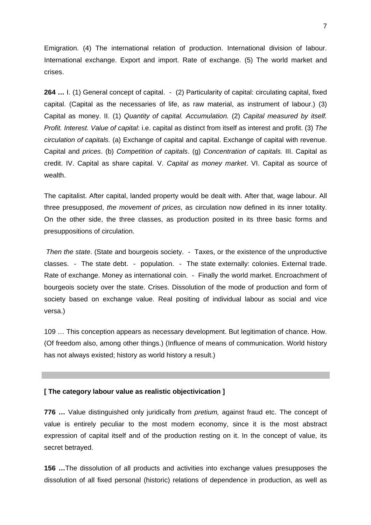Emigration. (4) The international relation of production. International division of labour. International exchange. Export and import. Rate of exchange. (5) The world market and crises.

**264 …** I. (1) General concept of capital. - (2) Particularity of capital: circulating capital, fixed capital. (Capital as the necessaries of life, as raw material, as instrument of labour.) (3) Capital as money. II. (1) *Quantity of capital. Accumulation.* (2) *Capital measured by itself. Profit. Interest. Value of capital*: i.e. capital as distinct from itself as interest and profit. (3) *The circulation of capitals.* (a) Exchange of capital and capital. Exchange of capital with revenue. Capital and *prices*. (b) *Competition of capitals*. (g) *Concentration of capitals.* III. Capital as credit. IV. Capital as share capital. V. *Capital as money market*. VI. Capital as source of wealth.

The capitalist. After capital, landed property would be dealt with. After that, wage labour. All three presupposed, *the movement of prices*, as circulation now defined in its inner totality. On the other side, the three classes, as production posited in its three basic forms and presuppositions of circulation.

*Then the state*. (State and bourgeois society. - Taxes, or the existence of the unproductive classes. - The state debt. - population. - The state externally: colonies. External trade. Rate of exchange. Money as international coin. - Finally the world market. Encroachment of bourgeois society over the state. Crises. Dissolution of the mode of production and form of society based on exchange value. Real positing of individual labour as social and vice versa.)

109 … This conception appears as necessary development. But legitimation of chance. How. (Of freedom also, among other things.) (Influence of means of communication. World history has not always existed; history as world history a result.)

#### **[ The category labour value as realistic objectivication ]**

**776 …** Value distinguished only juridically from *pretium,* against fraud etc. The concept of value is entirely peculiar to the most modern economy, since it is the most abstract expression of capital itself and of the production resting on it. In the concept of value, its secret betrayed.

**156 …**The dissolution of all products and activities into exchange values presupposes the dissolution of all fixed personal (historic) relations of dependence in production, as well as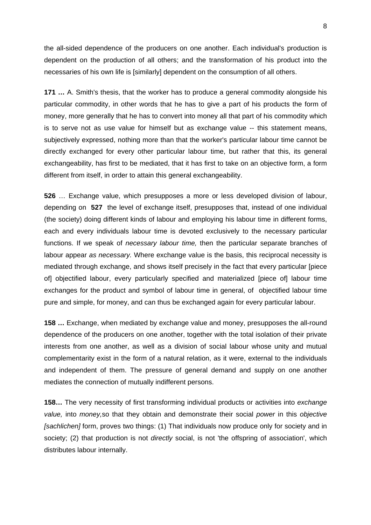the all-sided dependence of the producers on one another. Each individual's production is dependent on the production of all others; and the transformation of his product into the necessaries of his own life is [similarly] dependent on the consumption of all others.

**171 …** A. Smith's thesis, that the worker has to produce a general commodity alongside his particular commodity, in other words that he has to give a part of his products the form of money, more generally that he has to convert into money all that part of his commodity which is to serve not as use value for himself but as exchange value -- this statement means, subjectively expressed, nothing more than that the worker's particular labour time cannot be directly exchanged for every other particular labour time, but rather that this, its general exchangeability, has first to be mediated, that it has first to take on an objective form, a form different from itself, in order to attain this general exchangeability.

**526** … Exchange value, which presupposes a more or less developed division of labour, depending on **527** the level of exchange itself, presupposes that, instead of one individual (the society) doing different kinds of labour and employing his labour time in different forms, each and every individuals labour time is devoted exclusively to the necessary particular functions. If we speak of *necessary labour time,* then the particular separate branches of labour appear *as necessary.* Where exchange value is the basis, this reciprocal necessity is mediated through exchange, and shows itself precisely in the fact that every particular [piece of] objectified labour, every particularly specified and materialized [piece of] labour time exchanges for the product and symbol of labour time in general, of objectified labour time pure and simple, for money, and can thus be exchanged again for every particular labour.

**158 …** Exchange, when mediated by exchange value and money, presupposes the all-round dependence of the producers on one another, together with the total isolation of their private interests from one another, as well as a division of social labour whose unity and mutual complementarity exist in the form of a natural relation, as it were, external to the individuals and independent of them. The pressure of general demand and supply on one another mediates the connection of mutually indifferent persons.

**158…** The very necessity of first transforming individual products or activities into *exchange value,* into *money,*so that they obtain and demonstrate their social *power* in this *objective [sachlichen]* form, proves two things: (1) That individuals now produce only for society and in society; (2) that production is not *directly* social, is not 'the offspring of association', which distributes labour internally.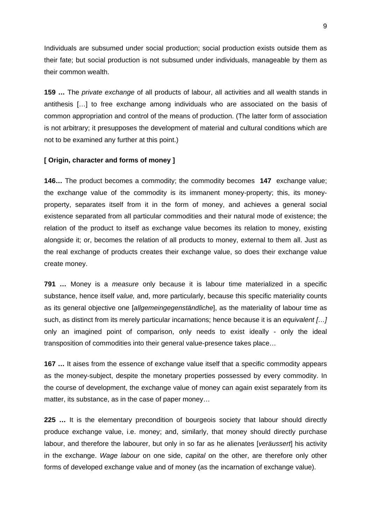Individuals are subsumed under social production; social production exists outside them as their fate; but social production is not subsumed under individuals, manageable by them as their common wealth.

**159 …** The *private exchange* of all products of labour, all activities and all wealth stands in antithesis […] to free exchange among individuals who are associated on the basis of common appropriation and control of the means of production. (The latter form of association is not arbitrary; it presupposes the development of material and cultural conditions which are not to be examined any further at this point.)

## **[ Origin, character and forms of money ]**

**146…** The product becomes a commodity; the commodity becomes **147** exchange value; the exchange value of the commodity is its immanent money-property; this, its moneyproperty, separates itself from it in the form of money, and achieves a general social existence separated from all particular commodities and their natural mode of existence; the relation of the product to itself as exchange value becomes its relation to money, existing alongside it; or, becomes the relation of all products to money, external to them all. Just as the real exchange of products creates their exchange value, so does their exchange value create money.

**791 …** Money is a *measure* only because it is labour time materialized in a specific substance, hence itself *value,* and, more particularly, because this specific materiality counts as its general objective one [*allgemeingegenständliche*], as the materiality of labour time as such, as distinct from its merely particular incarnations; hence because it is an *equivalent […]*  only an imagined point of comparison, only needs to exist ideally - only the ideal transposition of commodities into their general value-presence takes place…

**167 …** It aises from the essence of exchange value itself that a specific commodity appears as the money-subject, despite the monetary properties possessed by every commodity. In the course of development, the exchange value of money can again exist separately from its matter, its substance, as in the case of paper money…

**225 …** It is the elementary precondition of bourgeois society that labour should directly produce exchange value, i.e. money; and, similarly, that money should directly purchase labour, and therefore the labourer, but only in so far as he alienates [*veräussert*] his activity in the exchange. *Wage labour* on one side, *capital* on the other, are therefore only other forms of developed exchange value and of money (as the incarnation of exchange value).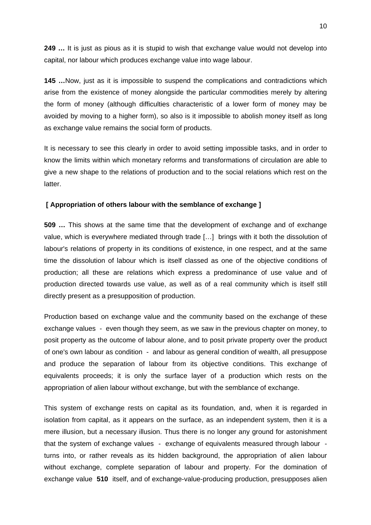**249 …** It is just as pious as it is stupid to wish that exchange value would not develop into capital, nor labour which produces exchange value into wage labour.

**145 …**Now, just as it is impossible to suspend the complications and contradictions which arise from the existence of money alongside the particular commodities merely by altering the form of money (although difficulties characteristic of a lower form of money may be avoided by moving to a higher form), so also is it impossible to abolish money itself as long as exchange value remains the social form of products.

It is necessary to see this clearly in order to avoid setting impossible tasks, and in order to know the limits within which monetary reforms and transformations of circulation are able to give a new shape to the relations of production and to the social relations which rest on the latter.

#### **[ Appropriation of others labour with the semblance of exchange ]**

**509 …** This shows at the same time that the development of exchange and of exchange value, which is everywhere mediated through trade […] brings with it both the dissolution of labour's relations of property in its conditions of existence, in one respect, and at the same time the dissolution of labour which is itself classed as one of the objective conditions of production; all these are relations which express a predominance of use value and of production directed towards use value, as well as of a real community which is itself still directly present as a presupposition of production.

Production based on exchange value and the community based on the exchange of these exchange values - even though they seem, as we saw in the previous chapter on money, to posit property as the outcome of labour alone, and to posit private property over the product of one's own labour as condition - and labour as general condition of wealth, all presuppose and produce the separation of labour from its objective conditions. This exchange of equivalents proceeds; it is only the surface layer of a production which rests on the appropriation of alien labour without exchange, but with the semblance of exchange.

This system of exchange rests on capital as its foundation, and, when it is regarded in isolation from capital, as it appears on the surface, as an independent system, then it is a mere illusion, but a necessary illusion. Thus there is no longer any ground for astonishment that the system of exchange values - exchange of equivalents measured through labour turns into, or rather reveals as its hidden background, the appropriation of alien labour without exchange, complete separation of labour and property. For the domination of exchange value **510** itself, and of exchange-value-producing production, presupposes alien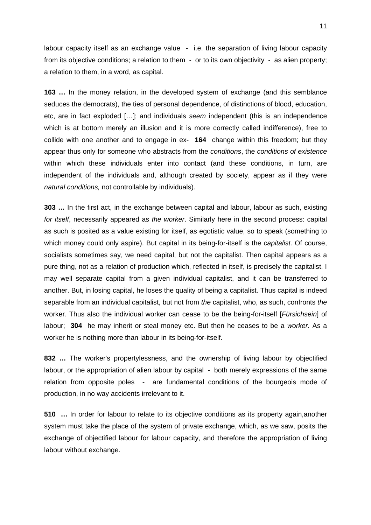labour capacity itself as an exchange value - i.e. the separation of living labour capacity from its objective conditions; a relation to them - or to its own objectivity - as alien property; a relation to them, in a word, as capital.

**163 …** In the money relation, in the developed system of exchange (and this semblance seduces the democrats), the ties of personal dependence, of distinctions of blood, education, etc, are in fact exploded […]; and individuals *seem* independent (this is an independence which is at bottom merely an illusion and it is more correctly called indifference), free to collide with one another and to engage in ex- **164** change within this freedom; but they appear thus only for someone who abstracts from the *conditions*, the *conditions of existence*  within which these individuals enter into contact (and these conditions, in turn, are independent of the individuals and, although created by society, appear as if they were *natural conditions,* not controllable by individuals).

**303 …** In the first act, in the exchange between capital and labour, labour as such, existing *for itself*, necessarily appeared as *the worker*. Similarly here in the second process: capital as such is posited as a value existing for itself, as egotistic value, so to speak (something to which money could only aspire). But capital in its being-for-itself is the *capitalist*. Of course, socialists sometimes say, we need capital, but not the capitalist. Then capital appears as a pure thing, not as a relation of production which, reflected in itself, is precisely the capitalist. I may well separate capital from a given individual capitalist, and it can be transferred to another. But, in losing capital, he loses the quality of being a capitalist. Thus capital is indeed separable from an individual capitalist, but not from *the* capitalist, who, as such, confronts *the*  worker. Thus also the individual worker can cease to be the being-for-itself [*Fürsichsein*] of labour; **304** he may inherit or steal money etc. But then he ceases to be a *worker*. As a worker he is nothing more than labour in its being-for-itself.

**832 …** The worker's propertylessness, and the ownership of living labour by objectified labour, or the appropriation of alien labour by capital - both merely expressions of the same relation from opposite poles - are fundamental conditions of the bourgeois mode of production, in no way accidents irrelevant to it.

**510 …** In order for labour to relate to its objective conditions as its property again,another system must take the place of the system of private exchange, which, as we saw, posits the exchange of objectified labour for labour capacity, and therefore the appropriation of living labour without exchange.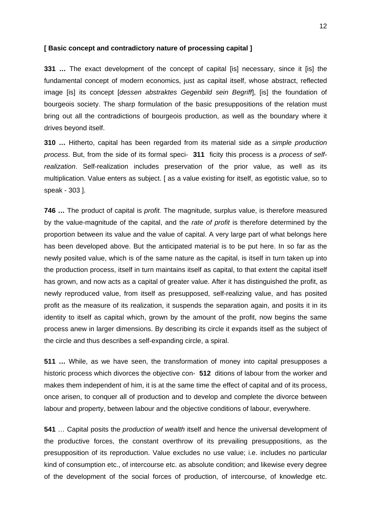#### **[ Basic concept and contradictory nature of processing capital ]**

**331 …** The exact development of the concept of capital [is] necessary, since it [is] the fundamental concept of modern economics, just as capital itself, whose abstract, reflected image [is] its concept [*dessen abstraktes Gegenbild sein Begriff*], [is] the foundation of bourgeois society. The sharp formulation of the basic presuppositions of the relation must bring out all the contradictions of bourgeois production, as well as the boundary where it drives beyond itself.

**310 …** Hitherto, capital has been regarded from its material side as a *simple production process*. But, from the side of its formal speci- **311** ficity this process is a *process of selfrealization*. Self-realization includes preservation of the prior value, as well as its multiplication. Value enters as subject. [ as a value existing for itself, as egotistic value, so to speak - 303 ].

**746 …** The product of capital is *profit.* The magnitude, surplus value, is therefore measured by the value-magnitude of the capital, and the *rate of profit* is therefore determined by the proportion between its value and the value of capital. A very large part of what belongs here has been developed above. But the anticipated material is to be put here. In so far as the newly posited value, which is of the same nature as the capital, is itself in turn taken up into the production process, itself in turn maintains itself as capital, to that extent the capital itself has grown, and now acts as a capital of greater value. After it has distinguished the profit, as newly reproduced value, from itself as presupposed, self-realizing value, and has posited profit as the measure of its realization, it suspends the separation again, and posits it in its identity to itself as capital which, grown by the amount of the profit, now begins the same process anew in larger dimensions. By describing its circle it expands itself as the subject of the circle and thus describes a self-expanding circle, a spiral.

**511 …** While, as we have seen, the transformation of money into capital presupposes a historic process which divorces the objective con- **512** ditions of labour from the worker and makes them independent of him, it is at the same time the effect of capital and of its process, once arisen, to conquer all of production and to develop and complete the divorce between labour and property, between labour and the objective conditions of labour, everywhere.

**541** … Capital posits the *production of wealth* itself and hence the universal development of the productive forces, the constant overthrow of its prevailing presuppositions, as the presupposition of its reproduction. Value excludes no use value; i.e. includes no particular kind of consumption etc., of intercourse etc. as absolute condition; and likewise every degree of the development of the social forces of production, of intercourse, of knowledge etc.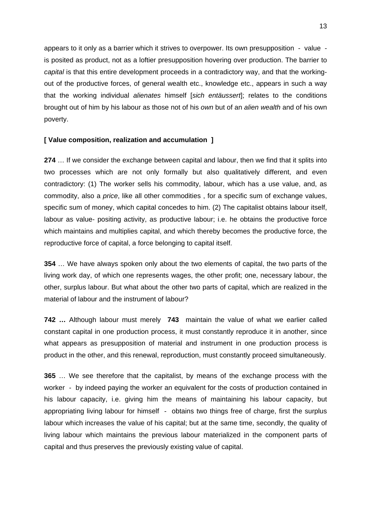appears to it only as a barrier which it strives to overpower. Its own presupposition - value is posited as product, not as a loftier presupposition hovering over production. The barrier to *capital* is that this entire development proceeds in a contradictory way, and that the workingout of the productive forces, of general wealth etc., knowledge etc., appears in such a way that the working individual *alienates* himself [*sich entäussert*]; relates to the conditions brought out of him by his labour as those not of his *own* but of an *alien wealth* and of his own poverty.

#### **[ Value composition, realization and accumulation ]**

**274** … If we consider the exchange between capital and labour, then we find that it splits into two processes which are not only formally but also qualitatively different, and even contradictory: (1) The worker sells his commodity, labour, which has a use value, and, as commodity, also a *price*, like all other commodities , for a specific sum of exchange values, specific sum of money, which capital concedes to him. (2) The capitalist obtains labour itself, labour as value- positing activity, as productive labour; i.e. he obtains the productive force which maintains and multiplies capital, and which thereby becomes the productive force, the reproductive force of capital, a force belonging to capital itself.

**354** … We have always spoken only about the two elements of capital, the two parts of the living work day, of which one represents wages, the other profit; one, necessary labour, the other, surplus labour. But what about the other two parts of capital, which are realized in the material of labour and the instrument of labour?

**742 …** Although labour must merely **743** maintain the value of what we earlier called constant capital in one production process, it must constantly reproduce it in another, since what appears as presupposition of material and instrument in one production process is product in the other, and this renewal, reproduction, must constantly proceed simultaneously.

**365** … We see therefore that the capitalist, by means of the exchange process with the worker - by indeed paying the worker an equivalent for the costs of production contained in his labour capacity, i.e. giving him the means of maintaining his labour capacity, but appropriating living labour for himself - obtains two things free of charge, first the surplus labour which increases the value of his capital; but at the same time, secondly, the quality of living labour which maintains the previous labour materialized in the component parts of capital and thus preserves the previously existing value of capital.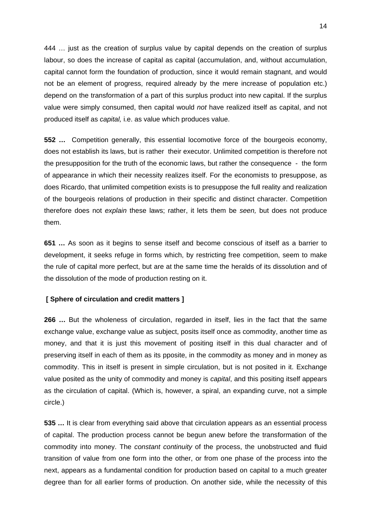444 … just as the creation of surplus value by capital depends on the creation of surplus labour, so does the increase of capital as capital (accumulation, and, without accumulation, capital cannot form the foundation of production, since it would remain stagnant, and would not be an element of progress, required already by the mere increase of population etc.) depend on the transformation of a part of this surplus product into new capital. If the surplus value were simply consumed, then capital would *not* have realized itself as capital, and not produced itself as *capital,* i.e. as value which produces value.

**552 …** Competition generally, this essential locomotive force of the bourgeois economy, does not establish its laws, but is rather their executor. Unlimited competition is therefore not the presupposition for the truth of the economic laws, but rather the consequence - the form of appearance in which their necessity realizes itself. For the economists to presuppose, as does Ricardo, that unlimited competition exists is to presuppose the full reality and realization of the bourgeois relations of production in their specific and distinct character. Competition therefore does not *explain* these laws; rather, it lets them be *seen,* but does not produce them.

**651 …** As soon as it begins to sense itself and become conscious of itself as a barrier to development, it seeks refuge in forms which, by restricting free competition, seem to make the rule of capital more perfect, but are at the same time the heralds of its dissolution and of the dissolution of the mode of production resting on it.

## **[ Sphere of circulation and credit matters ]**

**266 …** But the wholeness of circulation, regarded in itself, lies in the fact that the same exchange value, exchange value as subject, posits itself once as commodity, another time as money, and that it is just this movement of positing itself in this dual character and of preserving itself in each of them as its pposite, in the commodity as money and in money as commodity. This in itself is present in simple circulation, but is not posited in it. Exchange value posited as the unity of commodity and money is *capital*, and this positing itself appears as the circulation of capital. (Which is, however, a spiral, an expanding curve, not a simple circle.)

**535 …** It is clear from everything said above that circulation appears as an essential process of capital. The production process cannot be begun anew before the transformation of the commodity into money. The *constant continuity* of the process, the unobstructed and fluid transition of value from one form into the other, or from one phase of the process into the next, appears as a fundamental condition for production based on capital to a much greater degree than for all earlier forms of production. On another side, while the necessity of this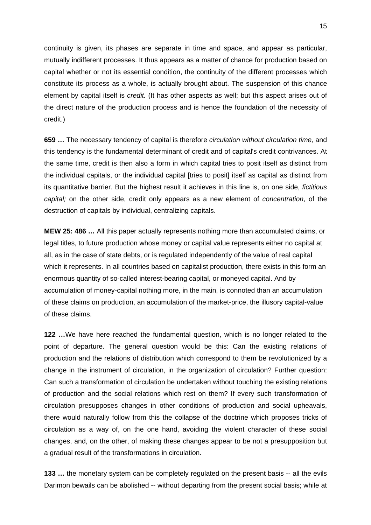continuity is given, its phases are separate in time and space, and appear as particular, mutually indifferent processes. It thus appears as a matter of chance for production based on capital whether or not its essential condition, the continuity of the different processes which constitute its process as a whole, is actually brought about. The suspension of this chance element by capital itself is *credit.* (It has other aspects as well; but this aspect arises out of the direct nature of the production process and is hence the foundation of the necessity of credit.)

**659 …** The necessary tendency of capital is therefore *circulation without circulation time,* and this tendency is the fundamental determinant of credit and of capital's credit contrivances. At the same time, credit is then also a form in which capital tries to posit itself as distinct from the individual capitals, or the individual capital [tries to posit] itself as capital as distinct from its quantitative barrier. But the highest result it achieves in this line is, on one side, *fictitious capital;* on the other side, credit only appears as a new element of *concentration*, of the destruction of capitals by individual, centralizing capitals.

**MEW 25: 486 …** All this paper actually represents nothing more than accumulated claims, or legal titles, to future production whose money or capital value represents either no capital at all, as in the case of state debts, or is regulated independently of the value of real capital which it represents. In all countries based on capitalist production, there exists in this form an enormous quantity of so-called interest-bearing capital, or moneyed capital. And by accumulation of money-capital nothing more, in the main, is connoted than an accumulation of these claims on production, an accumulation of the market-price, the illusory capital-value of these claims.

**122 …**We have here reached the fundamental question, which is no longer related to the point of departure. The general question would be this: Can the existing relations of production and the relations of distribution which correspond to them be revolutionized by a change in the instrument of circulation, in the organization of circulation? Further question: Can such a transformation of circulation be undertaken without touching the existing relations of production and the social relations which rest on them? If every such transformation of circulation presupposes changes in other conditions of production and social upheavals, there would naturally follow from this the collapse of the doctrine which proposes tricks of circulation as a way of, on the one hand, avoiding the violent character of these social changes, and, on the other, of making these changes appear to be not a presupposition but a gradual result of the transformations in circulation.

**133 …** the monetary system can be completely regulated on the present basis -- all the evils Darimon bewails can be abolished -- without departing from the present social basis; while at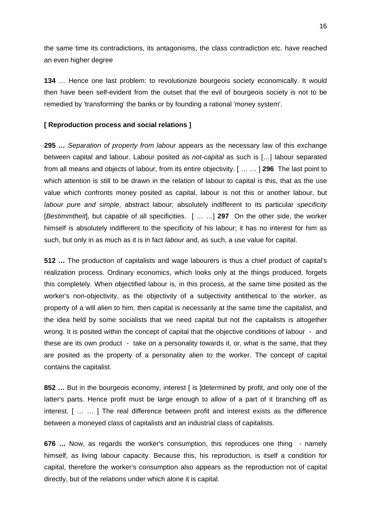the same time its contradictions, its antagonisms, the class contradiction etc. have reached an even higher degree

**134** … Hence one last problem: to revolutionize bourgeois society economically. It would then have been self-evident from the outset that the evil of bourgeois society is not to be remedied by 'transforming' the banks or by founding a rational 'money system'.

#### **[ Reproduction process and social relations ]**

**295 …** *Separation of property from labour* appears as the necessary law of this exchange between capital and labour. Labour posited as *not-capital* as such is […] labour separated from all means and objects of labour, from its entire objectivity. [ … … ] **296** The last point to which attention is still to be drawn in the relation of labour to capital is this, that as the use value which confronts money posited as capital, labour is not this or another labour, but *labour pure and simple*, abstract labour; absolutely indifferent to its particular *specificity*  [*Bestimmtheit*], but capable of all specificities. [ … …] **297** On the other side, the worker himself is absolutely indifferent to the specificity of his labour; it has no interest for him as such, but only in as much as it is in fact *labour* and, as such, a use value for capital.

**512 …** The production of capitalists and wage labourers is thus a chief product of capital's realization process. Ordinary economics, which looks only at the things produced, forgets this completely. When objectified labour is, in this process, at the same time posited as the worker's non-objectivity, as the objectivity of a subjectivity antithetical to the worker, as property of a will alien to him, then capital is necessarily at the same time the capitalist, and the idea held by some socialists that we need capital but not the capitalists is altogether wrong. It is posited within the concept of capital that the objective conditions of labour - and these are its own product - take on a personality towards it, or, what is the same, that they are posited as the property of a personality alien to the worker. The concept of capital contains the capitalist.

**852** ... But in the bourgeois economy, interest [is ]determined by profit, and only one of the latter's parts. Hence profit must be large enough to allow of a part of it branching off as interest. [ … … ] The real difference between profit and interest exists as the difference between a moneyed class of capitalists and an industrial class of capitalists.

**676 …** Now, as regards the worker's consumption, this reproduces one thing - namely himself, as living labour capacity. Because this, his reproduction, is itself a condition for capital, therefore the worker's consumption also appears as the reproduction not of capital directly, but of the relations under which alone it is capital.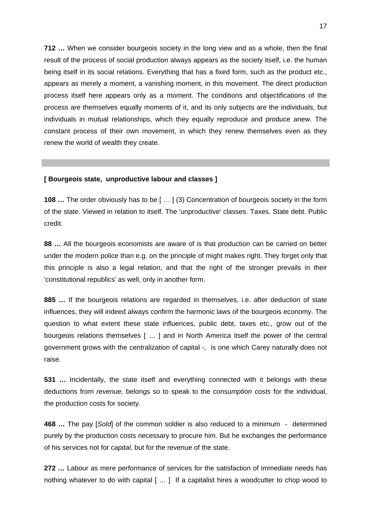**712 …** When we consider bourgeois society in the long view and as a whole, then the final result of the process of social production always appears as the society itself, i.e. the human being itself in its social relations. Everything that has a fixed form, such as the product etc., appears as merely a moment, a vanishing moment, in this movement. The direct production process itself here appears only as a moment. The conditions and objectifications of the process are themselves equally moments of it, and its only subjects are the individuals, but individuals in mutual relationships, which they equally reproduce and produce anew. The constant process of their own movement, in which they renew themselves even as they renew the world of wealth they create.

#### **[ Bourgeois state, unproductive labour and classes ]**

**108** ... The order obviously has to be [ ... ] (3) Concentration of bourgeois society in the form of the state. Viewed in relation to itself. The 'unproductive' classes. Taxes. State debt. Public credit.

**88 …** All the bourgeois economists are aware of is that production can be carried on better under the modern police than e.g. on the principle of might makes right. They forget only that this principle is also a legal relation, and that the right of the stronger prevails in their 'constitutional republics' as well, only in another form.

**885 …** If the bourgeois relations are regarded in themselves, i.e. after deduction of state influences, they will indeed always confirm the harmonic laws of the bourgeois economy. The question to what extent these state influences, public debt, taxes etc., grow out of the bourgeois relations themselves [ … ] and in North America itself the power of the central government grows with the centralization of capital -, is one which Carey naturally does not raise.

**531 …** Incidentally, the state itself and everything connected with it belongs with these deductions from *revenue,* belongs so to speak to the *consumption costs* for the individual, the production costs for society.

**468 …** The pay [*Sold*] of the common soldier is also reduced to a minimum - determined purely by the production costs necessary to procure him. But he exchanges the performance of his services not for *capital,* but for the revenue of the state.

**272 …** Labour as mere performance of services for the satisfaction of immediate needs has nothing whatever to do with capital [ ... ] If a capitalist hires a woodcutter to chop wood to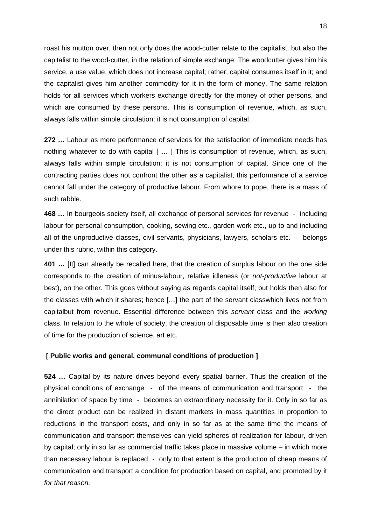roast his mutton over, then not only does the wood-cutter relate to the capitalist, but also the capitalist to the wood-cutter, in the relation of simple exchange. The woodcutter gives him his service, a use value, which does not increase capital; rather, capital consumes itself in it; and the capitalist gives him another commodity for it in the form of money. The same relation holds for all services which workers exchange directly for the money of other persons, and which are consumed by these persons. This is consumption of revenue, which, as such, always falls within simple circulation; it is not consumption of capital.

**272 …** Labour as mere performance of services for the satisfaction of immediate needs has nothing whatever to do with capital [ … ] This is consumption of revenue, which, as such, always falls within simple circulation; it is not consumption of capital. Since one of the contracting parties does not confront the other as a capitalist, this performance of a service cannot fall under the category of productive labour. From whore to pope, there is a mass of such rabble.

**468 …** In bourgeois society itself, all exchange of personal services for revenue - including labour for personal consumption, cooking, sewing etc., garden work etc., up to and including all of the unproductive classes, civil servants, physicians, lawyers, scholars etc. - belongs under this rubric, within this category.

**401 …** [It] can already be recalled here, that the creation of surplus labour on the one side corresponds to the creation of minus-labour, relative idleness (or *not-productive* labour at best), on the other. This goes without saying as regards capital itself; but holds then also for the classes with which it shares; hence […] the part of the servant classwhich lives not from capitalbut from revenue. Essential difference between this *servant* class and the *working*  class. In relation to the whole of society, the creation of disposable time is then also creation of time for the production of science, art etc.

## **[ Public works and general, communal conditions of production ]**

**524 …** Capital by its nature drives beyond every spatial barrier. Thus the creation of the physical conditions of exchange - of the means of communication and transport - the annihilation of space by time - becomes an extraordinary necessity for it. Only in so far as the direct product can be realized in distant markets in mass quantities in proportion to reductions in the transport costs, and only in so far as at the same time the means of communication and transport themselves can yield spheres of realization for labour, driven by capital; only in so far as commercial traffic takes place in massive volume – in which more than necessary labour is replaced - only to that extent is the production of cheap means of communication and transport a condition for production based on capital, and promoted by it *for that reason.*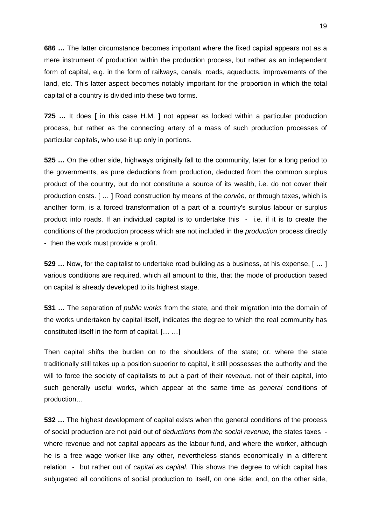**686 …** The latter circumstance becomes important where the fixed capital appears not as a mere instrument of production within the production process, but rather as an independent form of capital, e.g. in the form of railways, canals, roads, aqueducts, improvements of the land, etc. This latter aspect becomes notably important for the proportion in which the total capital of a country is divided into these two forms.

**725 …** It does [ in this case H.M. ] not appear as locked within a particular production process, but rather as the connecting artery of a mass of such production processes of particular capitals, who use it up only in portions.

**525 …** On the other side, highways originally fall to the community, later for a long period to the governments, as pure deductions from production, deducted from the common surplus product of the country, but do not constitute a source of its wealth, i.e. do not cover their production costs. [ … ] Road construction by means of the *corvée,* or through taxes, which is another form, is a forced transformation of a part of a country's surplus labour or surplus product into roads. If an individual capital is to undertake this - i.e. if it is to create the conditions of the production process which are not included in the *production* process directly - then the work must provide a profit.

**529 …** Now, for the capitalist to undertake road building as a business, at his expense, [ … ] various conditions are required, which all amount to this, that the mode of production based on capital is already developed to its highest stage.

**531 …** The separation of *public works* from the state, and their migration into the domain of the works undertaken by capital itself, indicates the degree to which the real community has constituted itself in the form of capital. [… …]

Then capital shifts the burden on to the shoulders of the state; or, where the state traditionally still takes up a position superior to capital, it still possesses the authority and the will to force the society of capitalists to put a part of their *revenue,* not of their capital, into such generally useful works, which appear at the same time as *general* conditions of production…

**532 …** The highest development of capital exists when the general conditions of the process of social production are not paid out of *deductions from the social revenue,* the states taxes where revenue and not capital appears as the labour fund, and where the worker, although he is a free wage worker like any other, nevertheless stands economically in a different relation - but rather out of *capital as capital.* This shows the degree to which capital has subjugated all conditions of social production to itself, on one side; and, on the other side,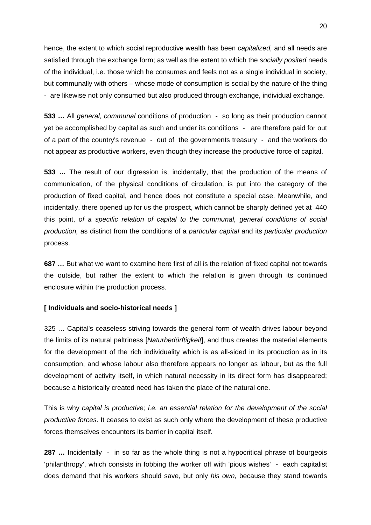hence, the extent to which social reproductive wealth has been *capitalized,* and all needs are satisfied through the exchange form; as well as the extent to which the *socially posited* needs of the individual, i.e. those which he consumes and feels not as a single individual in society, but communally with others – whose mode of consumption is social by the nature of the thing - are likewise not only consumed but also produced through exchange, individual exchange.

**533 …** All *general, communal* conditions of production - so long as their production cannot yet be accomplished by capital as such and under its conditions - are therefore paid for out of a part of the country's revenue - out of the governments treasury - and the workers do not appear as productive workers, even though they increase the productive force of capital.

**533 …** The result of our digression is, incidentally, that the production of the means of communication, of the physical conditions of circulation, is put into the category of the production of fixed capital, and hence does not constitute a special case. Meanwhile, and incidentally, there opened up for us the prospect, which cannot be sharply defined yet at 440 this point, *of a specific relation of capital to the communal, general conditions of social production,* as distinct from the conditions of a *particular capital* and its *particular production*  process.

**687 …** But what we want to examine here first of all is the relation of fixed capital not towards the outside, but rather the extent to which the relation is given through its continued enclosure within the production process.

## **[ Individuals and socio-historical needs ]**

325 … Capital's ceaseless striving towards the general form of wealth drives labour beyond the limits of its natural paltriness [*Naturbedürftigkeit*], and thus creates the material elements for the development of the rich individuality which is as all-sided in its production as in its consumption, and whose labour also therefore appears no longer as labour, but as the full development of activity itself, in which natural necessity in its direct form has disappeared; because a historically created need has taken the place of the natural one.

This is why *capital is productive; i.e. an essential relation for the development of the social productive forces.* It ceases to exist as such only where the development of these productive forces themselves encounters its barrier in capital itself.

**287** ... Incidentally - in so far as the whole thing is not a hypocritical phrase of bourgeois 'philanthropy', which consists in fobbing the worker off with 'pious wishes' - each capitalist does demand that his workers should save, but only *his own*, because they stand towards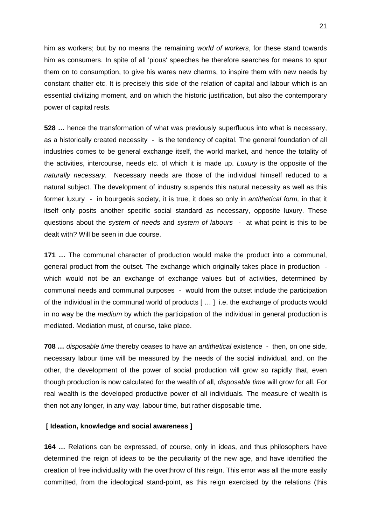him as workers; but by no means the remaining *world of workers*, for these stand towards him as consumers. In spite of all 'pious' speeches he therefore searches for means to spur them on to consumption, to give his wares new charms, to inspire them with new needs by constant chatter etc. It is precisely this side of the relation of capital and labour which is an essential civilizing moment, and on which the historic justification, but also the contemporary power of capital rests.

**528 …** hence the transformation of what was previously superfluous into what is necessary, as a historically created necessity - is the tendency of capital. The general foundation of all industries comes to be general exchange itself, the world market, and hence the totality of the activities, intercourse, needs etc. of which it is made up. *Luxury* is the opposite of the *naturally necessary.* Necessary needs are those of the individual himself reduced to a natural subject. The development of industry suspends this natural necessity as well as this former luxury - in bourgeois society, it is true, it does so only in *antithetical form,* in that it itself only posits another specific social standard as necessary, opposite luxury. These questions about the *system of needs* and *system of labours -* at what point is this to be dealt with? Will be seen in due course.

**171 …** The communal character of production would make the product into a communal, general product from the outset. The exchange which originally takes place in production which would not be an exchange of exchange values but of activities, determined by communal needs and communal purposes - would from the outset include the participation of the individual in the communal world of products [ … ] i.e. the exchange of products would in no way be the *medium* by which the participation of the individual in general production is mediated. Mediation must, of course, take place.

**708 …** *disposable time* thereby ceases to have an *antithetical* existence - then, on one side, necessary labour time will be measured by the needs of the social individual, and, on the other, the development of the power of social production will grow so rapidly that, even though production is now calculated for the wealth of all, *disposable time* will grow for all. For real wealth is the developed productive power of all individuals. The measure of wealth is then not any longer, in any way, labour time, but rather disposable time.

#### **[ Ideation, knowledge and social awareness ]**

**164 …** Relations can be expressed, of course, only in ideas, and thus philosophers have determined the reign of ideas to be the peculiarity of the new age, and have identified the creation of free individuality with the overthrow of this reign. This error was all the more easily committed, from the ideological stand-point, as this reign exercised by the relations (this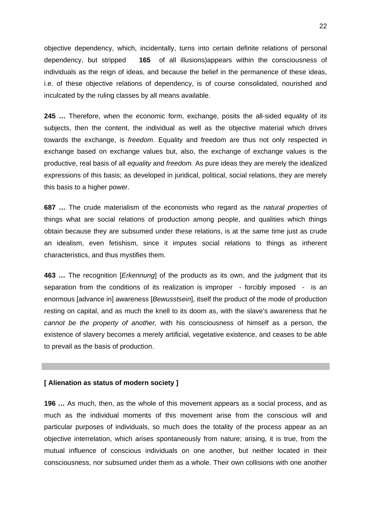objective dependency, which, incidentally, turns into certain definite relations of personal dependency, but stripped **165** of all illusions)appears within the consciousness of individuals as the reign of ideas, and because the belief in the permanence of these ideas, i.e. of these objective relations of dependency, is of course consolidated, nourished and inculcated by the ruling classes by all means available.

**245 …** Therefore, when the economic form, exchange, posits the all-sided equality of its subjects, then the content, the individual as well as the objective material which drives towards the exchange, is *freedom*. Equality and freedom are thus not only respected in exchange based on exchange values but, also, the exchange of exchange values is the productive, real basis of all *equality* and *freedom.* As pure ideas they are merely the idealized expressions of this basis; as developed in juridical, political, social relations, they are merely this basis to a higher power.

**687 …** The crude materialism of the economists who regard as the *natural properties* of things what are social relations of production among people, and qualities which things obtain because they are subsumed under these relations, is at the same time just as crude an idealism, even fetishism, since it imputes social relations to things as inherent characteristics, and thus mystifies them.

**463 …** The recognition [*Erkennung*] of the products as its own, and the judgment that its separation from the conditions of its realization is improper - forcibly imposed - is an enormous [advance in] awareness [*Bewusstsein*], itself the product of the mode of production resting on capital, and as much the knell to its doom as, with the slave's awareness that he *cannot be the property of another,* with his consciousness of himself as a person, the existence of slavery becomes a merely artificial, vegetative existence, and ceases to be able to prevail as the basis of production.

#### **[ Alienation as status of modern society ]**

**196 …** As much, then, as the whole of this movement appears as a social process, and as much as the individual moments of this movement arise from the conscious will and particular purposes of individuals, so much does the totality of the process appear as an objective interrelation, which arises spontaneously from nature; arising, it is true, from the mutual influence of conscious individuals on one another, but neither located in their consciousness, nor subsumed under them as a whole. Their own collisions with one another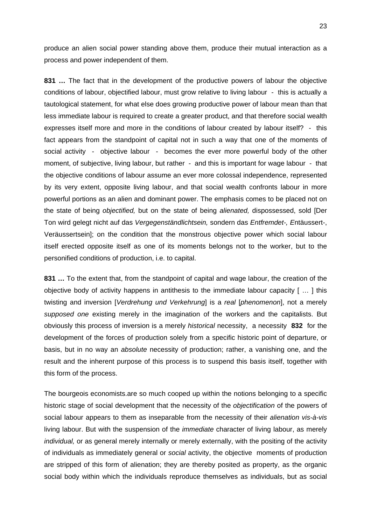produce an alien social power standing above them, produce their mutual interaction as a process and power independent of them.

**831 …** The fact that in the development of the productive powers of labour the objective conditions of labour, objectified labour, must grow relative to living labour - this is actually a tautological statement, for what else does growing productive power of labour mean than that less immediate labour is required to create a greater product, and that therefore social wealth expresses itself more and more in the conditions of labour created by labour itself? - this fact appears from the standpoint of capital not in such a way that one of the moments of social activity - objective labour - becomes the ever more powerful body of the other moment, of subjective, living labour, but rather - and this is important for wage labour - that the objective conditions of labour assume an ever more colossal independence, represented by its very extent, opposite living labour, and that social wealth confronts labour in more powerful portions as an alien and dominant power. The emphasis comes to be placed not on the state of being *objectified,* but on the state of being *alienated,* dispossessed, sold [Der Ton wird gelegt nicht auf das *Vergegenständlichtsein,* sondern das *Entfremdet-, E*ntäussert-, Veräussertsein]; on the condition that the monstrous objective power which social labour itself erected opposite itself as one of its moments belongs not to the worker, but to the personified conditions of production, i.e. to capital.

**831 …** To the extent that, from the standpoint of capital and wage labour, the creation of the objective body of activity happens in antithesis to the immediate labour capacity [ … ] this twisting and inversion [*Verdrehung und Verkehrung*] is a *real* [*phenomenon*], not a merely *supposed one* existing merely in the imagination of the workers and the capitalists. But obviously this process of inversion is a merely *historical* necessity, a necessity **832** for the development of the forces of production solely from a specific historic point of departure, or basis, but in no way an *absolute* necessity of production; rather, a vanishing one, and the result and the inherent purpose of this process is to suspend this basis itself, together with this form of the process.

The bourgeois economists.are so much cooped up within the notions belonging to a specific historic stage of social development that the necessity of the *objectification* of the powers of social labour appears to them as inseparable from the necessity of their *alienation vis-à-vis*  living labour. But with the suspension of the *immediate* character of living labour, as merely *individual,* or as general merely internally or merely externally, with the positing of the activity of individuals as immediately general or *social* activity, the objective moments of production are stripped of this form of alienation; they are thereby posited as property, as the organic social body within which the individuals reproduce themselves as individuals, but as social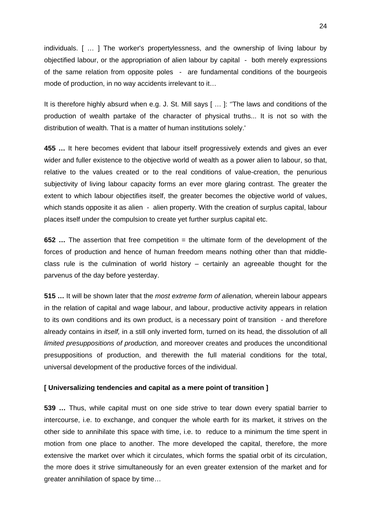individuals. [ … ] The worker's propertylessness, and the ownership of living labour by objectified labour, or the appropriation of alien labour by capital - both merely expressions of the same relation from opposite poles - are fundamental conditions of the bourgeois mode of production, in no way accidents irrelevant to it…

It is therefore highly absurd when e.g. J. St. Mill says [ … ]: ''The laws and conditions of the production of wealth partake of the character of physical truths... It is not so with the distribution of wealth. That is a matter of human institutions solely.'

**455 …** It here becomes evident that labour itself progressively extends and gives an ever wider and fuller existence to the objective world of wealth as a power alien to labour, so that, relative to the values created or to the real conditions of value-creation, the penurious subjectivity of living labour capacity forms an ever more glaring contrast. The greater the extent to which labour objectifies itself, the greater becomes the objective world of values, which stands opposite it as alien - alien property. With the creation of surplus capital, labour places itself under the compulsion to create yet further surplus capital etc.

**652 …** The assertion that free competition = the ultimate form of the development of the forces of production and hence of human freedom means nothing other than that middleclass rule is the culmination of world history – certainly an agreeable thought for the parvenus of the day before yesterday.

**515 …** It will be shown later that the *most extreme form of alienation,* wherein labour appears in the relation of capital and wage labour, and labour, productive activity appears in relation to its own conditions and its own product, is a necessary point of transition - and therefore already contains in *itself,* in a still only inverted form, turned on its head, the dissolution of all *limited presuppositions of production,* and moreover creates and produces the unconditional presuppositions of production, and therewith the full material conditions for the total, universal development of the productive forces of the individual.

#### **[ Universalizing tendencies and capital as a mere point of transition ]**

**539 …** Thus, while capital must on one side strive to tear down every spatial barrier to intercourse, i.e. to exchange, and conquer the whole earth for its market, it strives on the other side to annihilate this space with time, i.e. to reduce to a minimum the time spent in motion from one place to another. The more developed the capital, therefore, the more extensive the market over which it circulates, which forms the spatial orbit of its circulation, the more does it strive simultaneously for an even greater extension of the market and for greater annihilation of space by time…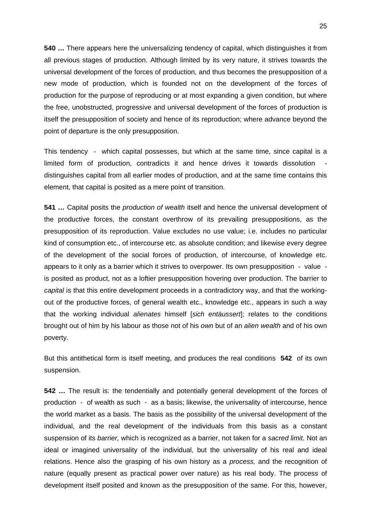**540 …** There appears here the universalizing tendency of capital, which distinguishes it from all previous stages of production. Although limited by its very nature, it strives towards the universal development of the forces of production, and thus becomes the presupposition of a new mode of production, which is founded not on the development of the forces of production for the purpose of reproducing or at most expanding a given condition, but where the free, unobstructed, progressive and universal development of the forces of production is itself the presupposition of society and hence of its reproduction; where advance beyond the point of departure is the only presupposition.

This tendency - which capital possesses, but which at the same time, since capital is a limited form of production, contradicts it and hence drives it towards dissolution distinguishes capital from all earlier modes of production, and at the same time contains this element, that capital is posited as a mere point of transition.

**541 …** Capital posits the *production of wealth* itself and hence the universal development of the productive forces, the constant overthrow of its prevailing presuppositions, as the presupposition of its reproduction. Value excludes no use value; i.e. includes no particular kind of consumption etc., of intercourse etc. as absolute condition; and likewise every degree of the development of the social forces of production, of intercourse, of knowledge etc. appears to it only as a barrier which it strives to overpower. Its own presupposition - value is posited as product, not as a loftier presupposition hovering over production. The barrier to *capital* is that this entire development proceeds in a contradictory way, and that the workingout of the productive forces, of general wealth etc., knowledge etc., appears in such a way that the working individual *alienates* himself [*sich entäussert*]; relates to the conditions brought out of him by his labour as those not of his *own* but of an *alien wealth* and of his own poverty.

But this antithetical form is itself meeting, and produces the real conditions **542** of its own suspension.

**542 …** The result is: the tendentially and potentially general development of the forces of production - of wealth as such - as a basis; likewise, the universality of intercourse, hence the world market as a basis. The basis as the possibility of the universal development of the individual, and the real development of the individuals from this basis as a constant suspension of its *barrier,* which is recognized as a barrier, not taken for a *sacred limit.* Not an ideal or imagined universality of the individual, but the universality of his real and ideal relations. Hence also the grasping of his own history as a *process,* and the recognition of nature (equally present as practical power over nature) as his real body. The process of development itself posited and known as the presupposition of the same. For this, however,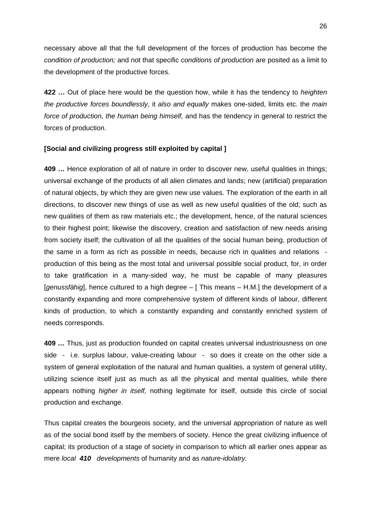necessary above all that the full development of the forces of production has become the *condition of production;* and not that specific *conditions of production* are posited as a limit to the development of the productive forces.

**422 …** Out of place here would be the question how, while it has the tendency to *heighten the productive forces boundlessly,* it *also and equally* makes one-sided, limits etc. the *main force of production, the human being himself,* and has the tendency in general to restrict the forces of production.

## **[Social and civilizing progress still exploited by capital ]**

**409 …** Hence exploration of all of nature in order to discover new, useful qualities in things; universal exchange of the products of all alien climates and lands; new (artificial) preparation of natural objects, by which they are given new use values. The exploration of the earth in all directions, to discover new things of use as well as new useful qualities of the old; such as new qualities of them as raw materials etc.; the development, hence, of the natural sciences to their highest point; likewise the discovery, creation and satisfaction of new needs arising from society itself; the cultivation of all the qualities of the social human being, production of the same in a form as rich as possible in needs, because rich in qualities and relations production of this being as the most total and universal possible social product, for, in order to take gratification in a many-sided way, he must be capable of many pleasures [*genussfähig*], hence cultured to a high degree – [ This means – H.M.] the development of a constantly expanding and more comprehensive system of different kinds of labour, different kinds of production, to which a constantly expanding and constantly enriched system of needs corresponds.

**409 …** Thus, just as production founded on capital creates universal industriousness on one side - i.e. surplus labour, value-creating labour - so does it create on the other side a system of general exploitation of the natural and human qualities, a system of general utility, utilizing science itself just as much as all the physical and mental qualities, while there appears nothing *higher in itself,* nothing legitimate for itself, outside this circle of social production and exchange.

Thus capital creates the bourgeois society, and the universal appropriation of nature as well as of the social bond itself by the members of society. Hence the great civilizing influence of capital; its production of a stage of society in comparison to which all earlier ones appear as mere *local 410 developments* of humanity and as *nature-idolatry.*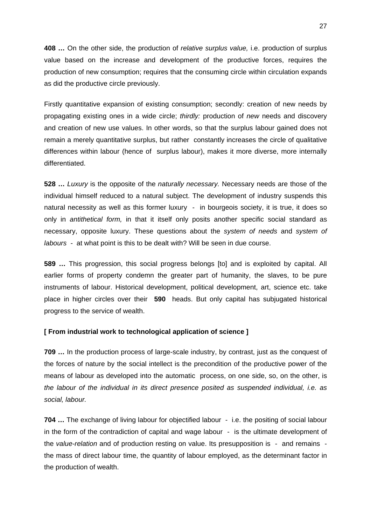**408 …** On the other side, the production of *relative surplus value,* i.e. production of surplus value based on the increase and development of the productive forces, requires the production of new consumption; requires that the consuming circle within circulation expands as did the productive circle previously.

Firstly quantitative expansion of existing consumption; secondly: creation of new needs by propagating existing ones in a wide circle; *thirdly:* production of *new* needs and discovery and creation of new use values. In other words, so that the surplus labour gained does not remain a merely quantitative surplus, but rather constantly increases the circle of qualitative differences within labour (hence of surplus labour), makes it more diverse, more internally differentiated.

**528 …** *Luxury* is the opposite of the *naturally necessary.* Necessary needs are those of the individual himself reduced to a natural subject. The development of industry suspends this natural necessity as well as this former luxury - in bourgeois society, it is true, it does so only in *antithetical form,* in that it itself only posits another specific social standard as necessary, opposite luxury. These questions about the *system of needs* and *system of labours -* at what point is this to be dealt with? Will be seen in due course.

**589 …** This progression, this social progress belongs [to] and is exploited by capital. All earlier forms of property condemn the greater part of humanity, the slaves, to be pure instruments of labour. Historical development, political development, art, science etc. take place in higher circles over their **590** heads. But only capital has subjugated historical progress to the service of wealth.

## **[ From industrial work to technological application of science ]**

**709 …** In the production process of large-scale industry, by contrast, just as the conquest of the forces of nature by the social intellect is the precondition of the productive power of the means of labour as developed into the automatic process, on one side, so, on the other, is *the labour of the individual in its direct presence posited as suspended individual, i.e. as social, labour.*

**704 …** The exchange of living labour for objectified labour - i.e. the positing of social labour in the form of the contradiction of capital and wage labour - is the ultimate development of the *value-relation* and of production resting on value. Its presupposition is - and remains the mass of direct labour time, the quantity of labour employed, as the determinant factor in the production of wealth.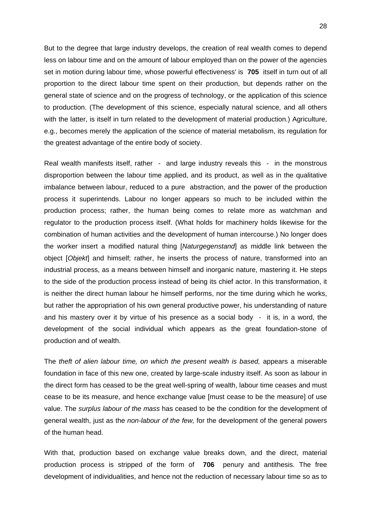But to the degree that large industry develops, the creation of real wealth comes to depend less on labour time and on the amount of labour employed than on the power of the agencies set in motion during labour time, whose powerful effectiveness' is **705** itself in turn out of all proportion to the direct labour time spent on their production, but depends rather on the general state of science and on the progress of technology, or the application of this science to production. (The development of this science, especially natural science, and all others with the latter, is itself in turn related to the development of material production.) Agriculture, e.g., becomes merely the application of the science of material metabolism, its regulation for the greatest advantage of the entire body of society.

Real wealth manifests itself, rather - and large industry reveals this - in the monstrous disproportion between the labour time applied, and its product, as well as in the qualitative imbalance between labour, reduced to a pure abstraction, and the power of the production process it superintends. Labour no longer appears so much to be included within the production process; rather, the human being comes to relate more as watchman and regulator to the production process itself. (What holds for machinery holds likewise for the combination of human activities and the development of human intercourse.) No longer does the worker insert a modified natural thing [*Naturgegenstand*] as middle link between the object [*Objekt*] and himself; rather, he inserts the process of nature, transformed into an industrial process, as a means between himself and inorganic nature, mastering it. He steps to the side of the production process instead of being its chief actor. In this transformation, it is neither the direct human labour he himself performs, nor the time during which he works, but rather the appropriation of his own general productive power, his understanding of nature and his mastery over it by virtue of his presence as a social body - it is, in a word, the development of the social individual which appears as the great foundation-stone of production and of wealth.

The *theft of alien labour time, on which the present wealth is based, appears a miserable* foundation in face of this new one, created by large-scale industry itself. As soon as labour in the direct form has ceased to be the great well-spring of wealth, labour time ceases and must cease to be its measure, and hence exchange value [must cease to be the measure] of use value. The *surplus labour of the mass* has ceased to be the condition for the development of general wealth, just as the *non-labour of the few,* for the development of the general powers of the human head.

With that, production based on exchange value breaks down, and the direct, material production process is stripped of the form of **706** penury and antithesis. The free development of individualities, and hence not the reduction of necessary labour time so as to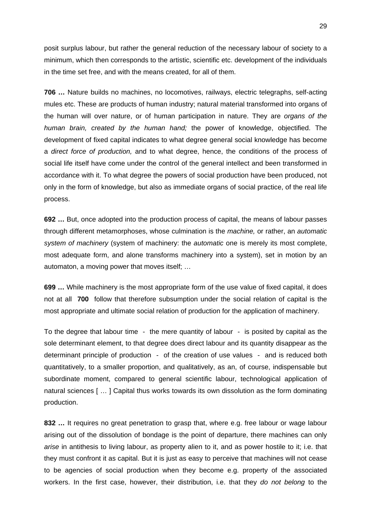posit surplus labour, but rather the general reduction of the necessary labour of society to a minimum, which then corresponds to the artistic, scientific etc. development of the individuals in the time set free, and with the means created, for all of them.

**706 …** Nature builds no machines, no locomotives, railways, electric telegraphs, self-acting mules etc. These are products of human industry; natural material transformed into organs of the human will over nature, or of human participation in nature. They are *organs of the human brain, created by the human hand;* the power of knowledge, objectified. The development of fixed capital indicates to what degree general social knowledge has become a *direct force of production,* and to what degree, hence, the conditions of the process of social life itself have come under the control of the general intellect and been transformed in accordance with it. To what degree the powers of social production have been produced, not only in the form of knowledge, but also as immediate organs of social practice, of the real life process.

**692 …** But, once adopted into the production process of capital, the means of labour passes through different metamorphoses, whose culmination is the *machine,* or rather, an *automatic system of machinery* (system of machinery: the *automatic* one is merely its most complete, most adequate form, and alone transforms machinery into a system), set in motion by an automaton, a moving power that moves itself; …

**699 …** While machinery is the most appropriate form of the use value of fixed capital, it does not at all **700** follow that therefore subsumption under the social relation of capital is the most appropriate and ultimate social relation of production for the application of machinery.

To the degree that labour time - the mere quantity of labour - is posited by capital as the sole determinant element, to that degree does direct labour and its quantity disappear as the determinant principle of production - of the creation of use values - and is reduced both quantitatively, to a smaller proportion, and qualitatively, as an, of course, indispensable but subordinate moment, compared to general scientific labour, technological application of natural sciences [ … ] Capital thus works towards its own dissolution as the form dominating production.

**832 …** It requires no great penetration to grasp that, where e.g. free labour or wage labour arising out of the dissolution of bondage is the point of departure, there machines can only *arise* in antithesis to living labour, as property alien to it, and as power hostile to it; i.e. that they must confront it as capital. But it is just as easy to perceive that machines will not cease to be agencies of social production when they become e.g. property of the associated workers. In the first case, however, their distribution, i.e. that they *do not belong* to the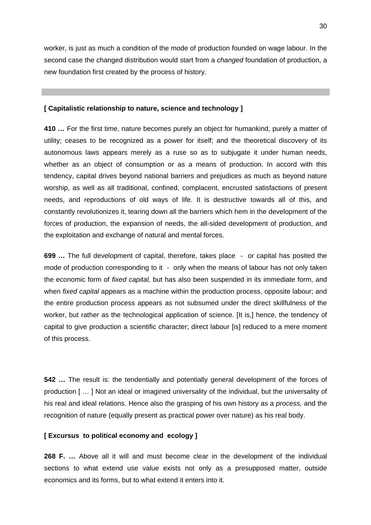worker, is just as much a condition of the mode of production founded on wage labour. In the second case the changed distribution would start from a *changed* foundation of production, a new foundation first created by the process of history.

### **[ Capitalistic relationship to nature, science and technology ]**

**410 …** For the first time, nature becomes purely an object for humankind, purely a matter of utility; ceases to be recognized as a power for itself; and the theoretical discovery of its autonomous laws appears merely as a ruse so as to subjugate it under human needs, whether as an object of consumption or as a means of production. In accord with this tendency, capital drives beyond national barriers and prejudices as much as beyond nature worship, as well as all traditional, confined, complacent, encrusted satisfactions of present needs, and reproductions of old ways of life. It is destructive towards all of this, and constantly revolutionizes it, tearing down all the barriers which hem in the development of the forces of production, the expansion of needs, the all-sided development of production, and the exploitation and exchange of natural and mental forces.

**699 …** The full development of capital, therefore, takes place - or capital has posited the mode of production corresponding to it - only when the means of labour has not only taken the economic form of *fixed capital,* but has also been suspended in its immediate form, and when *fixed capital* appears as a machine within the production process, opposite labour; and the entire production process appears as not subsumed under the direct skillfulness of the worker, but rather as the technological application of science. [It is,] hence, the tendency of capital to give production a scientific character; direct labour [is] reduced to a mere moment of this process.

**542 …** The result is: the tendentially and potentially general development of the forces of production [ … ] Not an ideal or imagined universality of the individual, but the universality of his real and ideal relations. Hence also the grasping of his own history as a *process,* and the recognition of nature (equally present as practical power over nature) as his real body.

## **[ Excursus to political economy and ecology ]**

**268 F. …** Above all it will and must become clear in the development of the individual sections to what extend use value exists not only as a presupposed matter, outside economics and its forms, but to what extend it enters into it.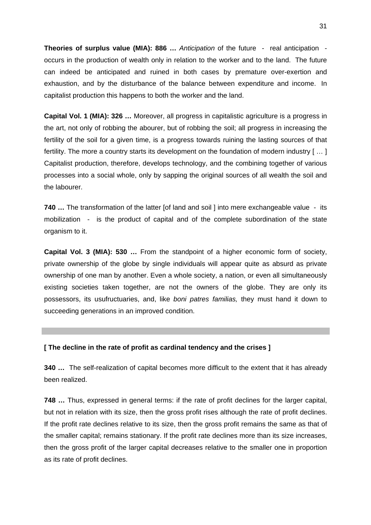**Theories of surplus value (MIA): 886 …** *Anticipation* of the future - real anticipation occurs in the production of wealth only in relation to the worker and to the land. The future can indeed be anticipated and ruined in both cases by premature over-exertion and exhaustion, and by the disturbance of the balance between expenditure and income. In capitalist production this happens to both the worker and the land.

**Capital Vol. 1 (MIA): 326 …** Moreover, all progress in capitalistic agriculture is a progress in the art, not only of robbing the abourer, but of robbing the soil; all progress in increasing the fertility of the soil for a given time, is a progress towards ruining the lasting sources of that fertility. The more a country starts its development on the foundation of modern industry [ … ] Capitalist production, therefore, develops technology, and the combining together of various processes into a social whole, only by sapping the original sources of all wealth the soil and the labourer.

**740** ... The transformation of the latter [of land and soil ] into mere exchangeable value - its mobilization - is the product of capital and of the complete subordination of the state organism to it.

**Capital Vol. 3 (MIA): 530 …** From the standpoint of a higher economic form of society, private ownership of the globe by single individuals will appear quite as absurd as private ownership of one man by another. Even a whole society, a nation, or even all simultaneously existing societies taken together, are not the owners of the globe. They are only its possessors, its usufructuaries, and, like *boni patres familias,* they must hand it down to succeeding generations in an improved condition.

## **[ The decline in the rate of profit as cardinal tendency and the crises ]**

**340 …** The self-realization of capital becomes more difficult to the extent that it has already been realized.

**748 …** Thus, expressed in general terms: if the rate of profit declines for the larger capital, but not in relation with its size, then the gross profit rises although the rate of profit declines. If the profit rate declines relative to its size, then the gross profit remains the same as that of the smaller capital; remains stationary. If the profit rate declines more than its size increases, then the gross profit of the larger capital decreases relative to the smaller one in proportion as its rate of profit declines.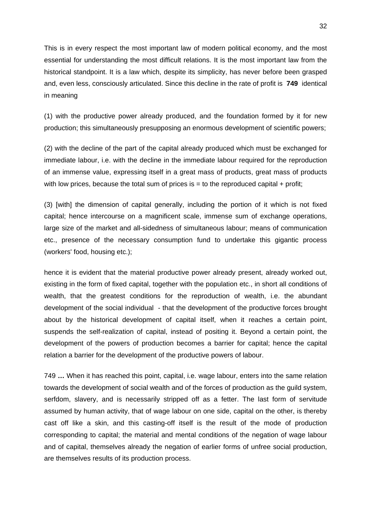This is in every respect the most important law of modern political economy, and the most essential for understanding the most difficult relations. It is the most important law from the historical standpoint. It is a law which, despite its simplicity, has never before been grasped and, even less, consciously articulated. Since this decline in the rate of profit is **749** identical in meaning

(1) with the productive power already produced, and the foundation formed by it for new production; this simultaneously presupposing an enormous development of scientific powers;

(2) with the decline of the part of the capital already produced which must be exchanged for immediate labour, i.e. with the decline in the immediate labour required for the reproduction of an immense value, expressing itself in a great mass of products, great mass of products with low prices, because the total sum of prices is  $=$  to the reproduced capital  $+$  profit;

(3) [with] the dimension of capital generally, including the portion of it which is not fixed capital; hence intercourse on a magnificent scale, immense sum of exchange operations, large size of the market and all-sidedness of simultaneous labour; means of communication etc., presence of the necessary consumption fund to undertake this gigantic process (workers' food, housing etc.);

hence it is evident that the material productive power already present, already worked out, existing in the form of fixed capital, together with the population etc., in short all conditions of wealth, that the greatest conditions for the reproduction of wealth, i.e. the abundant development of the social individual - that the development of the productive forces brought about by the historical development of capital itself, when it reaches a certain point, suspends the self-realization of capital, instead of positing it. Beyond a certain point, the development of the powers of production becomes a barrier for capital; hence the capital relation a barrier for the development of the productive powers of labour.

749 **…** When it has reached this point, capital, i.e. wage labour, enters into the same relation towards the development of social wealth and of the forces of production as the guild system, serfdom, slavery, and is necessarily stripped off as a fetter. The last form of servitude assumed by human activity, that of wage labour on one side, capital on the other, is thereby cast off like a skin, and this casting-off itself is the result of the mode of production corresponding to capital; the material and mental conditions of the negation of wage labour and of capital, themselves already the negation of earlier forms of unfree social production, are themselves results of its production process.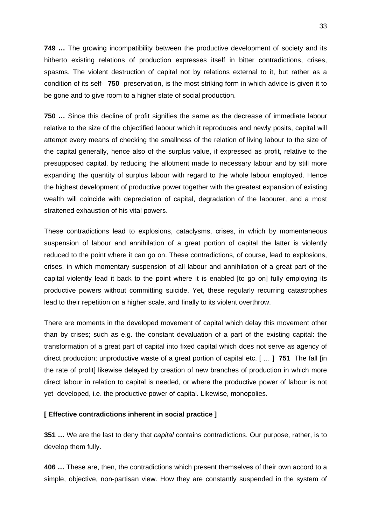**749 …** The growing incompatibility between the productive development of society and its hitherto existing relations of production expresses itself in bitter contradictions, crises, spasms. The violent destruction of capital not by relations external to it, but rather as a condition of its self- **750** preservation, is the most striking form in which advice is given it to be gone and to give room to a higher state of social production.

**750 …** Since this decline of profit signifies the same as the decrease of immediate labour relative to the size of the objectified labour which it reproduces and newly posits, capital will attempt every means of checking the smallness of the relation of living labour to the size of the capital generally, hence also of the surplus value, if expressed as profit, relative to the presupposed capital, by reducing the allotment made to necessary labour and by still more expanding the quantity of surplus labour with regard to the whole labour employed. Hence the highest development of productive power together with the greatest expansion of existing wealth will coincide with depreciation of capital, degradation of the labourer, and a most straitened exhaustion of his vital powers.

These contradictions lead to explosions, cataclysms, crises, in which by momentaneous suspension of labour and annihilation of a great portion of capital the latter is violently reduced to the point where it can go on. These contradictions, of course, lead to explosions, crises, in which momentary suspension of all labour and annihilation of a great part of the capital violently lead it back to the point where it is enabled [to go on] fully employing its productive powers without committing suicide. Yet, these regularly recurring catastrophes lead to their repetition on a higher scale, and finally to its violent overthrow.

There are moments in the developed movement of capital which delay this movement other than by crises; such as e.g. the constant devaluation of a part of the existing capital: the transformation of a great part of capital into fixed capital which does not serve as agency of direct production; unproductive waste of a great portion of capital etc. [ … ] **751** The fall [in the rate of profit] likewise delayed by creation of new branches of production in which more direct labour in relation to capital is needed, or where the productive power of labour is not yet developed, i.e. the productive power of capital. Likewise, monopolies.

## **[ Effective contradictions inherent in social practice ]**

**351 …** We are the last to deny that *capital* contains contradictions. Our purpose, rather, is to develop them fully.

**406 …** These are, then, the contradictions which present themselves of their own accord to a simple, objective, non-partisan view. How they are constantly suspended in the system of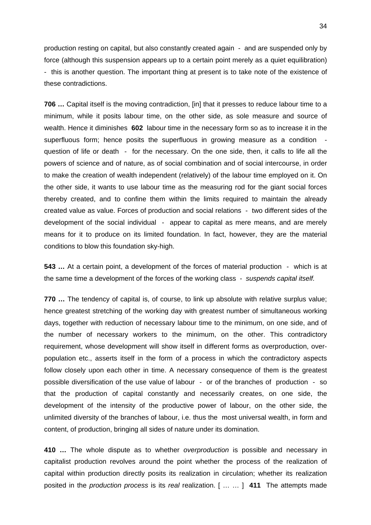production resting on capital, but also constantly created again - and are suspended only by force (although this suspension appears up to a certain point merely as a quiet equilibration) - this is another question. The important thing at present is to take note of the existence of these contradictions.

**706 …** Capital itself is the moving contradiction, [in] that it presses to reduce labour time to a minimum, while it posits labour time, on the other side, as sole measure and source of wealth. Hence it diminishes **602** labour time in the necessary form so as to increase it in the superfluous form; hence posits the superfluous in growing measure as a condition question of life or death - for the necessary. On the one side, then, it calls to life all the powers of science and of nature, as of social combination and of social intercourse, in order to make the creation of wealth independent (relatively) of the labour time employed on it. On the other side, it wants to use labour time as the measuring rod for the giant social forces thereby created, and to confine them within the limits required to maintain the already created value as value. Forces of production and social relations - two different sides of the development of the social individual - appear to capital as mere means, and are merely means for it to produce on its limited foundation. In fact, however, they are the material conditions to blow this foundation sky-high.

**543 …** At a certain point, a development of the forces of material production - which is at the same time a development of the forces of the working class - *suspends capital itself.*

**770 …** The tendency of capital is, of course, to link up absolute with relative surplus value; hence greatest stretching of the working day with greatest number of simultaneous working days, together with reduction of necessary labour time to the minimum, on one side, and of the number of necessary workers to the minimum, on the other. This contradictory requirement, whose development will show itself in different forms as overproduction, overpopulation etc., asserts itself in the form of a process in which the contradictory aspects follow closely upon each other in time. A necessary consequence of them is the greatest possible diversification of the use value of labour - or of the branches of production - so that the production of capital constantly and necessarily creates, on one side, the development of the intensity of the productive power of labour, on the other side, the unlimited diversity of the branches of labour, i.e. thus the most universal wealth, in form and content, of production, bringing all sides of nature under its domination.

**410 …** The whole dispute as to whether *overproduction* is possible and necessary in capitalist production revolves around the point whether the process of the realization of capital within production directly posits its realization in circulation; whether its realization posited in the *production process* is its *real* realization. [ … … ] **411** The attempts made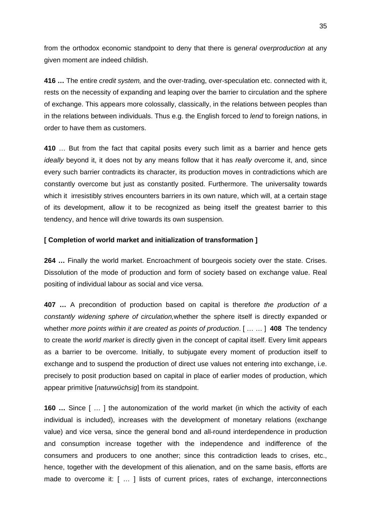from the orthodox economic standpoint to deny that there is g*eneral overproduction* at any given moment are indeed childish.

**416 …** The entire *credit system,* and the over-trading, over-speculation etc. connected with it, rests on the necessity of expanding and leaping over the barrier to circulation and the sphere of exchange. This appears more colossally, classically, in the relations between peoples than in the relations between individuals. Thus e.g. the English forced to *lend* to foreign nations, in order to have them as customers.

**410** … But from the fact that capital posits every such limit as a barrier and hence gets *ideally* beyond it, it does not by any means follow that it has *really o*vercome it, and, since every such barrier contradicts its character, its production moves in contradictions which are constantly overcome but just as constantly posited. Furthermore. The universality towards which it irresistibly strives encounters barriers in its own nature, which will, at a certain stage of its development, allow it to be recognized as being itself the greatest barrier to this tendency, and hence will drive towards its own suspension.

## **[ Completion of world market and initialization of transformation ]**

**264 …** Finally the world market. Encroachment of bourgeois society over the state. Crises. Dissolution of the mode of production and form of society based on exchange value. Real positing of individual labour as social and vice versa.

**407 …** A precondition of production based on capital is therefore *the production of a constantly widening sphere of circulation,*whether the sphere itself is directly expanded or whether *more points within it are created as points of production*. [ … … ] **408** The tendency to create the *world market* is directly given in the concept of capital itself. Every limit appears as a barrier to be overcome. Initially, to subjugate every moment of production itself to exchange and to suspend the production of direct use values not entering into exchange, i.e. precisely to posit production based on capital in place of earlier modes of production, which appear primitive [*naturwüchsig*] from its standpoint.

**160 …** Since [ … ] the autonomization of the world market (in which the activity of each individual is included), increases with the development of monetary relations (exchange value) and vice versa, since the general bond and all-round interdependence in production and consumption increase together with the independence and indifference of the consumers and producers to one another; since this contradiction leads to crises, etc., hence, together with the development of this alienation, and on the same basis, efforts are made to overcome it: [ ... ] lists of current prices, rates of exchange, interconnections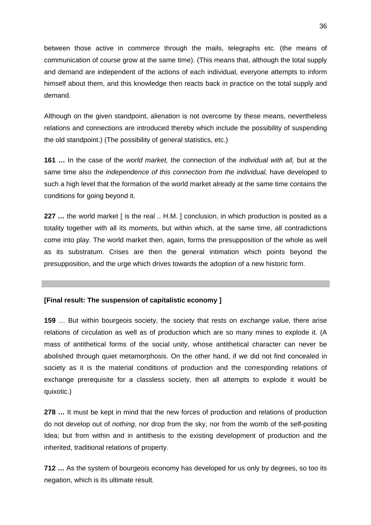between those active in commerce through the mails, telegraphs etc. (the means of communication of course grow at the same time). (This means that, although the total supply and demand are independent of the actions of each individual, everyone attempts to inform himself about them, and this knowledge then reacts back in practice on the total supply and demand.

Although on the given standpoint, alienation is not overcome by these means, nevertheless relations and connections are introduced thereby which include the possibility of suspending the old standpoint.) (The possibility of general statistics, etc.)

**161 …** In the case of the *world market,* the connection of the *individual with all,* but at the same time also the *independence of this connection from the individual,* have developed to such a high level that the formation of the world market already at the same time contains the conditions for going beyond it.

**227** ... the world market [ is the real .. H.M. ] conclusion, in which production is posited as a totality together with all its moments, but within which, at the same time, all contradictions come into play. The world market then, again, forms the presupposition of the whole as well as its substratum. Crises are then the general intimation which points beyond the presupposition, and the urge which drives towards the adoption of a new historic form.

## **[Final result: The suspension of capitalistic economy ]**

**159** … But within bourgeois society, the society that rests on *exchange value,* there arise relations of circulation as well as of production which are so many mines to explode it. (A mass of antithetical forms of the social unity, whose antithetical character can never be abolished through quiet metamorphosis. On the other hand, if we did not find concealed in society as it is the material conditions of production and the corresponding relations of exchange prerequisite for a classless society, then all attempts to explode it would be quixotic.)

**278 …** It must be kept in mind that the new forces of production and relations of production do not develop out of *nothing*, nor drop from the sky, nor from the womb of the self-positing Idea; but from within and in antithesis to the existing development of production and the inherited, traditional relations of property.

**712 …** As the system of bourgeois economy has developed for us only by degrees, so too its negation, which is its ultimate result.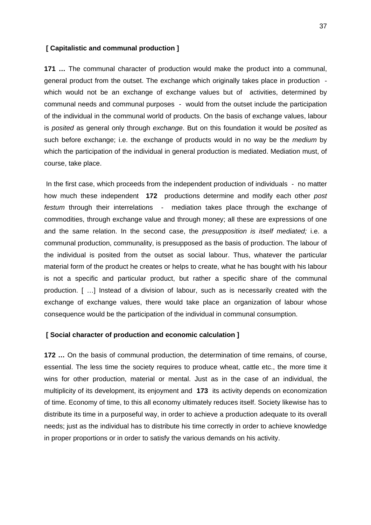#### **[ Capitalistic and communal production ]**

**171 …** The communal character of production would make the product into a communal, general product from the outset. The exchange which originally takes place in production which would not be an exchange of exchange values but of activities, determined by communal needs and communal purposes - would from the outset include the participation of the individual in the communal world of products. On the basis of exchange values, labour is *posited* as general only through *exchange*. But on this foundation it would be *posited* as such before exchange; i.e. the exchange of products would in no way be the *medium* by which the participation of the individual in general production is mediated. Mediation must, of course, take place.

 In the first case, which proceeds from the independent production of individuals - no matter how much these independent **172** productions determine and modify each other *post festum* through their interrelations - mediation takes place through the exchange of commodities, through exchange value and through money; all these are expressions of one and the same relation. In the second case, the *presupposition is itself mediated;* i.e. a communal production, communality, is presupposed as the basis of production. The labour of the individual is posited from the outset as social labour. Thus, whatever the particular material form of the product he creates or helps to create, what he has bought with his labour is not a specific and particular product, but rather a specific share of the communal production. [ …] Instead of a division of labour, such as is necessarily created with the exchange of exchange values, there would take place an organization of labour whose consequence would be the participation of the individual in communal consumption.

#### **[ Social character of production and economic calculation ]**

**172 …** On the basis of communal production, the determination of time remains, of course, essential. The less time the society requires to produce wheat, cattle etc., the more time it wins for other production, material or mental. Just as in the case of an individual, the multiplicity of its development, its enjoyment and **173** its activity depends on economization of time. Economy of time, to this all economy ultimately reduces itself. Society likewise has to distribute its time in a purposeful way, in order to achieve a production adequate to its overall needs; just as the individual has to distribute his time correctly in order to achieve knowledge in proper proportions or in order to satisfy the various demands on his activity.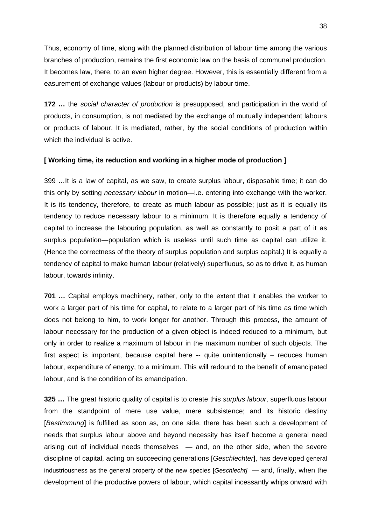Thus, economy of time, along with the planned distribution of labour time among the various branches of production, remains the first economic law on the basis of communal production. It becomes law, there, to an even higher degree. However, this is essentially different from a easurement of exchange values (labour or products) by labour time.

**172 …** the *social character of production* is presupposed, and participation in the world of products, in consumption, is not mediated by the exchange of mutually independent labours or products of labour. It is mediated, rather, by the social conditions of production within which the individual is active.

## **[ Working time, its reduction and working in a higher mode of production ]**

399 …It is a law of capital, as we saw, to create surplus labour, disposable time; it can do this only by setting *necessary labour* in motion—i.e. entering into exchange with the worker. It is its tendency, therefore, to create as much labour as possible; just as it is equally its tendency to reduce necessary labour to a minimum. It is therefore equally a tendency of capital to increase the labouring population, as well as constantly to posit a part of it as surplus population—population which is useless until such time as capital can utilize it. (Hence the correctness of the theory of surplus population and surplus capital.) It is equally a tendency of capital to make human labour (relatively) superfluous, so as to drive it, as human labour, towards infinity.

**701 …** Capital employs machinery, rather, only to the extent that it enables the worker to work a larger part of his time for capital, to relate to a larger part of his time as time which does not belong to him, to work longer for another. Through this process, the amount of labour necessary for the production of a given object is indeed reduced to a minimum, but only in order to realize a maximum of labour in the maximum number of such objects. The first aspect is important, because capital here -- quite unintentionally – reduces human labour, expenditure of energy, to a minimum. This will redound to the benefit of emancipated labour, and is the condition of its emancipation.

**325 …** The great historic quality of capital is to create this *surplus labour*, superfluous labour from the standpoint of mere use value, mere subsistence; and its historic destiny [*Bestimmung*] is fulfilled as soon as, on one side, there has been such a development of needs that surplus labour above and beyond necessity has itself become a general need arising out of individual needs themselves — and, on the other side, when the severe discipline of capital, acting on succeeding generations [*Geschlechter*], has developed general industriousness as the general property of the new species [*Geschlecht]* — and, finally, when the development of the productive powers of labour, which capital incessantly whips onward with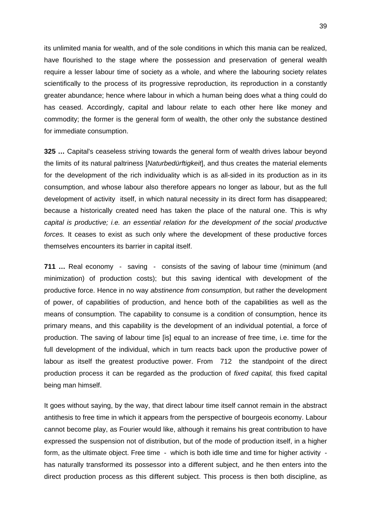its unlimited mania for wealth, and of the sole conditions in which this mania can be realized, have flourished to the stage where the possession and preservation of general wealth require a lesser labour time of society as a whole, and where the labouring society relates scientifically to the process of its progressive reproduction, its reproduction in a constantly greater abundance; hence where labour in which a human being does what a thing could do has ceased. Accordingly, capital and labour relate to each other here like money and commodity; the former is the general form of wealth, the other only the substance destined for immediate consumption.

**325 …** Capital's ceaseless striving towards the general form of wealth drives labour beyond the limits of its natural paltriness [*Naturbedürftigkeit*], and thus creates the material elements for the development of the rich individuality which is as all-sided in its production as in its consumption, and whose labour also therefore appears no longer as labour, but as the full development of activity itself, in which natural necessity in its direct form has disappeared; because a historically created need has taken the place of the natural one. This is why *capital is productive; i.e. an essential relation for the development of the social productive forces.* It ceases to exist as such only where the development of these productive forces themselves encounters its barrier in capital itself.

**711 …** Real economy - saving - consists of the saving of labour time (minimum (and minimization) of production costs); but this saving identical with development of the productive force. Hence in no way *abstinence from consumption,* but rather the development of power, of capabilities of production, and hence both of the capabilities as well as the means of consumption. The capability to consume is a condition of consumption, hence its primary means, and this capability is the development of an individual potential, a force of production. The saving of labour time [is] equal to an increase of free time, i.e. time for the full development of the individual, which in turn reacts back upon the productive power of labour as itself the greatest productive power. From 712 the standpoint of the direct production process it can be regarded as the production of *fixed capital,* this fixed capital being man himself.

It goes without saying, by the way, that direct labour time itself cannot remain in the abstract antithesis to free time in which it appears from the perspective of bourgeois economy. Labour cannot become play, as Fourier would like, although it remains his great contribution to have expressed the suspension not of distribution, but of the mode of production itself, in a higher form, as the ultimate object. Free time - which is both idle time and time for higher activity has naturally transformed its possessor into a different subject, and he then enters into the direct production process as this different subject. This process is then both discipline, as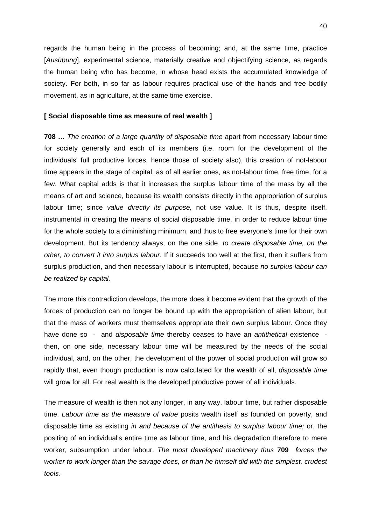regards the human being in the process of becoming; and, at the same time, practice [*Ausübung*], experimental science, materially creative and objectifying science, as regards the human being who has become, in whose head exists the accumulated knowledge of society. For both, in so far as labour requires practical use of the hands and free bodily movement, as in agriculture, at the same time exercise.

#### **[ Social disposable time as measure of real wealth ]**

**708 …** *The creation of a large quantity of disposable time* apart from necessary labour time for society generally and each of its members (i.e. room for the development of the individuals' full productive forces, hence those of society also), this creation of not-labour time appears in the stage of capital, as of all earlier ones, as not-labour time, free time, for a few. What capital adds is that it increases the surplus labour time of the mass by all the means of art and science, because its wealth consists directly in the appropriation of surplus labour time; since *value directly its purpose,* not use value. It is thus, despite itself, instrumental in creating the means of social disposable time, in order to reduce labour time for the whole society to a diminishing minimum, and thus to free everyone's time for their own development. But its tendency always, on the one side, *to create disposable time, on the other, to convert it into surplus labour.* If it succeeds too well at the first, then it suffers from surplus production, and then necessary labour is interrupted, because *no surplus labour can be realized by capital.* 

The more this contradiction develops, the more does it become evident that the growth of the forces of production can no longer be bound up with the appropriation of alien labour, but that the mass of workers must themselves appropriate their own surplus labour. Once they have done so - and *disposable time* thereby ceases to have an *antithetical* existence then, on one side, necessary labour time will be measured by the needs of the social individual, and, on the other, the development of the power of social production will grow so rapidly that, even though production is now calculated for the wealth of all, *disposable time*  will grow for all. For real wealth is the developed productive power of all individuals.

The measure of wealth is then not any longer, in any way, labour time, but rather disposable time. *Labour time as the measure of value* posits wealth itself as founded on poverty, and disposable time as existing *in and because of the antithesis to surplus labour time;* or, the positing of an individual's entire time as labour time, and his degradation therefore to mere worker, subsumption under labour. *The most developed machinery thus* **709** *forces the worker to work longer than the savage does, or than he himself did with the simplest, crudest tools.*